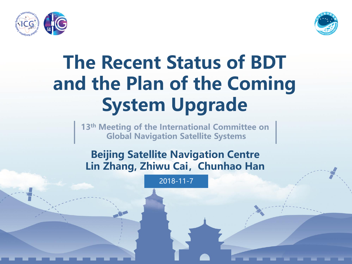



**13th Meeting of the International Committee on Global Navigation Satellite Systems**

**Beijing Satellite Navigation Centre Lin Zhang, Zhiwu Cai,Chunhao Han**

2018-11-7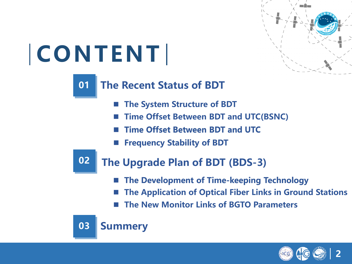

# **CONTENT**

#### **The Recent Status of BDT 0101**

- **The System Structure of BDT**
- **Time Offset Between BDT and UTC(BSNC)**
- **Time Offset Between BDT and UTC Time Offset Between BDT and UTC**
- **Frequency Stability of BDT**

**02** 

### **The Upgrade Plan of BDT (BDS-3)**

- **The Development of Time-keeping Technology The Development of Time-keeping Technology**
- **The Application of Optical Fiber Links in Ground Stations**
- **The New Monitor Links of BGTO Parameters**



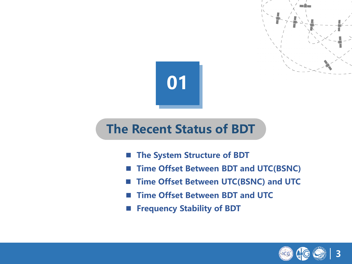

### **The Recent Status of BDT**

- **The System Structure of BDT**
- Time Offset Between BDT and UTC(BSNC)
- **Time Offset Between UTC(BSNC) and UTC**
- **Time Offset Between BDT and UTC**
- **Frequency Stability of BDT**

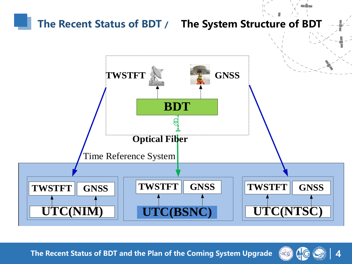

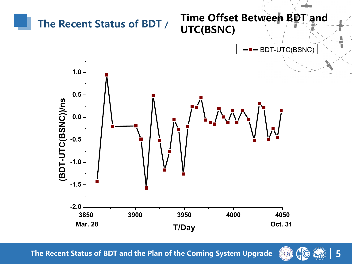

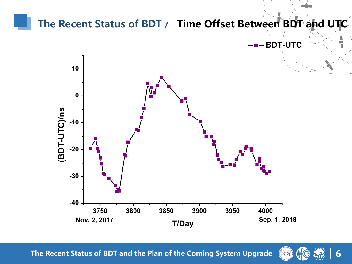

**6** NCG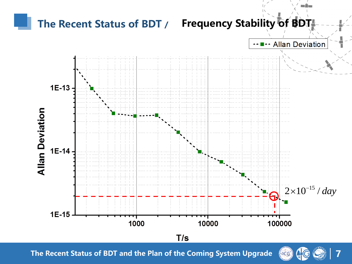

**7** NCG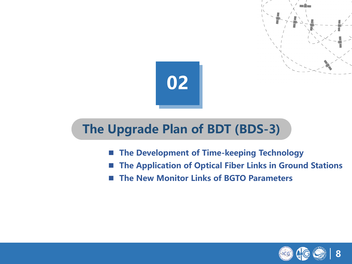

### **The Upgrade Plan of BDT (BDS-3)**

- The Development of Time-keeping Technology
- **The Application of Optical Fiber Links in Ground Stations**
- **The New Monitor Links of BGTO Parameters**

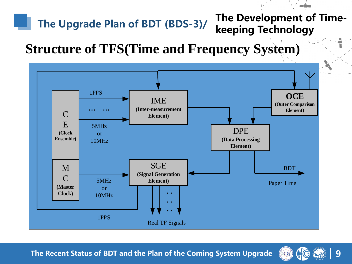### The Upgrade Plan of BDT (BDS-3)/ The Development of Time**keeping Technology**

### **Structure of TFS(Time and Frequency System)**



**The Recent Status of BDT and the Plan of the Coming System Upgrade**



<u>a Timo</u>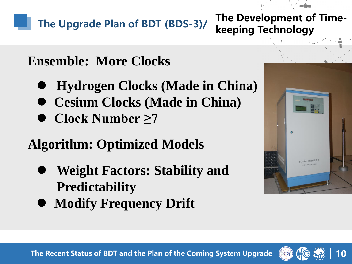The Upgrade Plan of BDT (BDS-3)/ The Development of Time-

**keeping Technology**

## **Ensemble: More Clocks**

- **Hydrogen Clocks (Made in China)**
- **Cesium Clocks (Made in China)**
- **Clock Number ≥7**

## **Algorithm: Optimized Models**

- **Weight Factors: Stability and Predictability**
- **Modify Frequency Drift**



**10**

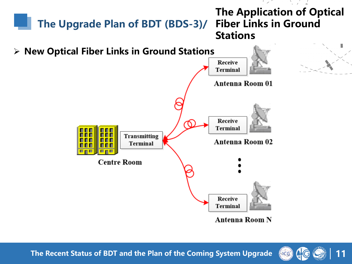

**11**  $\bigcap$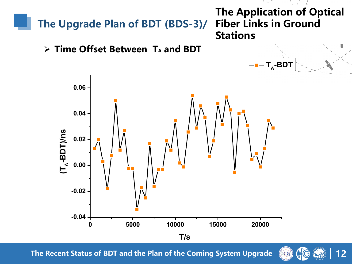

**T/s**

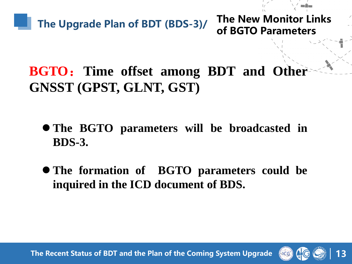

**of BGTO Parameters**

## **BGTO**:**Time offset among BDT and Other GNSST (GPST, GLNT, GST)**

- **The BGTO parameters will be broadcasted in BDS-3.**
- **The formation of BGTO parameters could be inquired in the ICD document of BDS.**

**The Recent Status of BDT and the Plan of the Coming System Upgrade**



**13**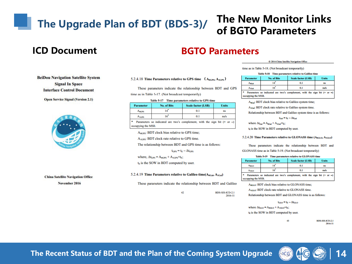## The Upgrade Plan of BDT (BDS-3)/ The New Monitor Links

# **of BGTO Parameters**

#### **ICD Document BGTO Parameters**

| <b>BeiDou Navigation Satellite System</b> |
|-------------------------------------------|
| <b>Signal In Space</b>                    |
| <b>Interface Control Document</b>         |

**Open Service Signal (Version 2.1)** 



**China Satellite Navigation Office** November 2016

#### 5.2.4.18 Time Parameters relative to GPS time  $(A_{0GPS}, A_{1GPS})$

These parameters indicate the relationship between BDT and GPS time as in Table 5-17. (Not broadcast temporarily)

#### Table 5-17 Time parameters relative to GPS time

| <b>Parameter</b>         | No. of Bits | <b>Scale factor (LSB)</b> | <b>Units</b> |
|--------------------------|-------------|---------------------------|--------------|
| <b>A</b> <sub>0GPS</sub> |             | 0.1                       | ns           |
| $A_{1GPS}$               |             | 0.1                       | ns/s         |

Parameters so indicated are two's complement, with the sign bit  $(+ or -)$ occupying the MSB.

A<sub>0GPS</sub>: BDT clock bias relative to GPS time;

A<sub>1GPS</sub>: BDT clock rate relative to GPS time.

The relationship between BDT and GPS time is as follows:

 $t_{\text{GPS}} = t_{\text{E}} - \Delta t_{\text{GPS}}$ 

where,  $\Delta t_{GPS} = A_{0GPS} + A_{1GPS} \times t_E$ ;

 $t_E$  is the SOW in BDT computed by user.

#### 5.2.4.19 Time Parameters relative to Galileo time( $A_{0Gal}$ ,  $A_{1Gal}$ )

These parameters indicate the relationship between BDT and Galileo

42

BDS-SIS-ICD-2.1 2016-11

|  | C 2016 China Satellite Navigation Office |  |  |
|--|------------------------------------------|--|--|

time as in Table 5-18. (Not broadcast temporarily)

| Table 5-18 Time parameters relative to Galileo time |  |                                                                            |              |  |  |
|-----------------------------------------------------|--|----------------------------------------------------------------------------|--------------|--|--|
| <b>Parameter</b><br>No. of Bits                     |  | <b>Scale factor (LSB)</b>                                                  | <b>Units</b> |  |  |
| Antal                                               |  | 0.1                                                                        | ns.          |  |  |
| Aigat                                               |  | 0.1                                                                        | ns/s         |  |  |
|                                                     |  | Parameters so indicated are two's complement, with the sign bit $(+ or -)$ |              |  |  |

occupying the MSB. A<sub>oCal</sub>: BDT clock bias relative to Galileo system time;

A<sub>tGal</sub>: BDT clock rate relative to Galileo system time.

Relationship between BDT and Galileo system time is as follows:

 $t_{Gal} = t_E - \Delta t_{Gal}$ 

where  $\Delta t_{\text{Gal}} = A_{\text{total}} + A_{\text{total}} \times t_{\text{pl}}$ ;

te is the SOW in BDT computed by user.

#### 5.2.4.20 Time Parameters relative to GLONASS time (A<sub>9GLO</sub>, A<sub>1GLO</sub>)

These parameters indicate the relationship between BDT and GLONASS time as in Table 5-19. (Not broadcast temporarily)

#### Table 5-19 Time parameters relative to GLONASS time

| <b>Parameter</b>                                                                                             | No. of Bits | <b>Scale factor (LSB)</b> | <b>Units</b> |  |  |  |
|--------------------------------------------------------------------------------------------------------------|-------------|---------------------------|--------------|--|--|--|
| Aaczo                                                                                                        |             | 0.1                       | ns.          |  |  |  |
| Aiceo                                                                                                        |             | 0.1                       | ns/s         |  |  |  |
| Parameters so indicated are two's complement, with the sign bit $(+ or -)$<br><b><i>compains</i></b> the MSR |             |                           |              |  |  |  |

AgaLo: BDT clock bias relative to GLONASS time;

A<sub>10L0</sub>: BDT clock rate relative to GLONASS time.

Relationship between BDT and GLONASS time is as follows:

 $t_{GLO} = t_E - \Delta t_{GLO}$ 

43

where  $\Delta t_{GLO} = A_{OGLO} + A_{IGLO} \times t_E$ ;

t<sub>E</sub> is the SOW in BDT computed by user.

RDS-SIS-JCD-2-1 2016-11

**14**

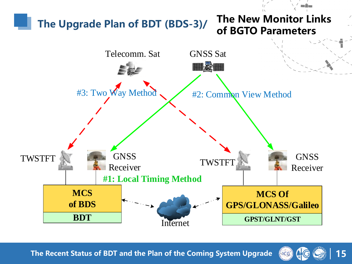

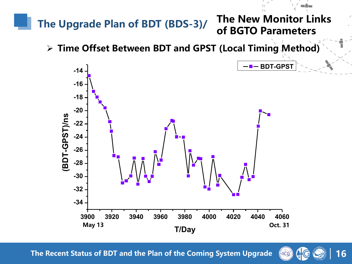

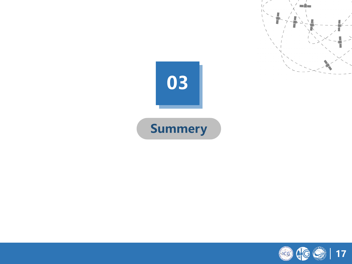



mŠm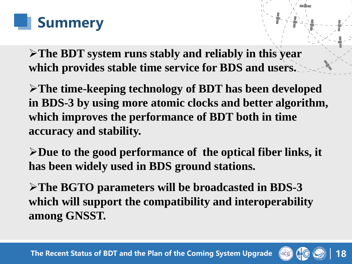

➢**The BDT system runs stably and reliably in this year which provides stable time service for BDS and users.**

➢**The time-keeping technology of BDT has been developed in BDS-3 by using more atomic clocks and better algorithm, which improves the performance of BDT both in time accuracy and stability.** 

➢**Due to the good performance of the optical fiber links, it has been widely used in BDS ground stations.** 

➢**The BGTO parameters will be broadcasted in BDS-3 which will support the compatibility and interoperability among GNSST.**